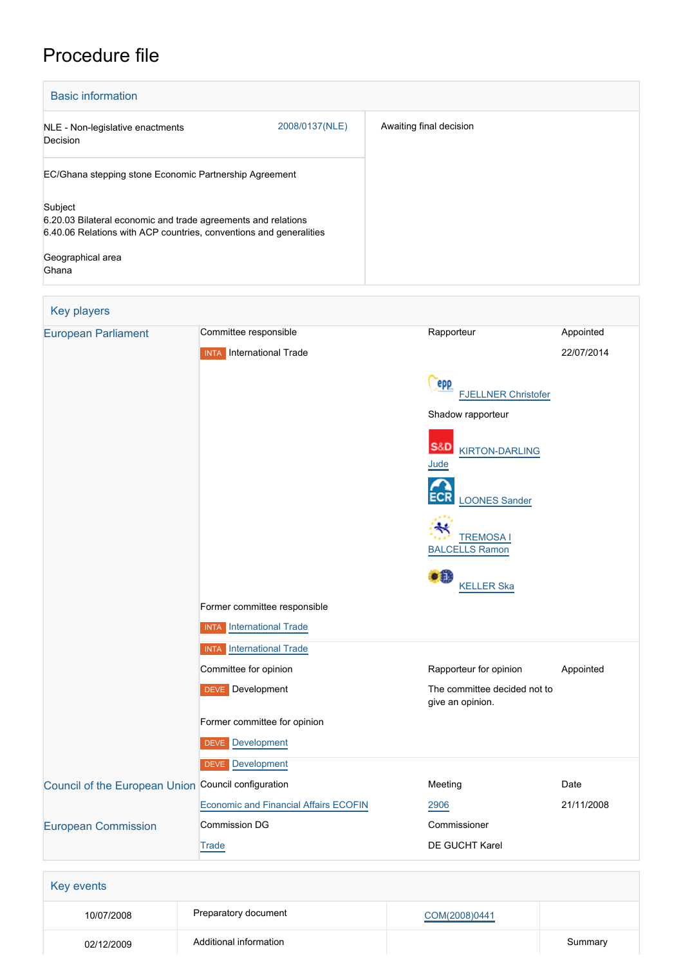# Procedure file

| <b>Basic information</b>                                                                                                                                                     |                |                         |
|------------------------------------------------------------------------------------------------------------------------------------------------------------------------------|----------------|-------------------------|
| NLE - Non-legislative enactments<br>Decision                                                                                                                                 | 2008/0137(NLE) | Awaiting final decision |
| EC/Ghana stepping stone Economic Partnership Agreement                                                                                                                       |                |                         |
| Subject<br>6.20.03 Bilateral economic and trade agreements and relations<br>6.40.06 Relations with ACP countries, conventions and generalities<br>Geographical area<br>Ghana |                |                         |

# Key players [European Parliament](http://www.europarl.europa.eu/) Committee responsible Rapporteur Rapporteur Appointed INTA International Trade 22/07/2014 **Cepp**  [FJELLNER Christofer](http://www.europarl.europa.eu/meps/en/28126) Shadow rapporteur **S&D**  [KIRTON-DARLING](http://www.europarl.europa.eu/meps/en/124953) [Jude](http://www.europarl.europa.eu/meps/en/124953) ECR [LOONES Sander](http://www.europarl.europa.eu/meps/en/128717) [TREMOSA I](http://www.europarl.europa.eu/meps/en/97203) [BALCELLS Ramon](http://www.europarl.europa.eu/meps/en/97203) **[KELLER Ska](http://www.europarl.europa.eu/meps/en/96734)** Former committee responsible **INTA** [International Trade](http://www.europarl.europa.eu/committees/en/inta/home.html) **INTA** [International Trade](http://www.europarl.europa.eu/committees/en/inta/home.html) Committee for opinion **Committee For opinion** Rapporteur for opinion Appointed DEVE Development **DEVE** Development give an opinion. Former committee for opinion DEVE [Development](http://www.europarl.europa.eu/committees/en/deve/home.html) DEVE [Development](http://www.europarl.europa.eu/committees/en/deve/home.html) [Council of the European Union](http://www.consilium.europa.eu) Council configuration **Meeting** Meeting Date [Economic and Financial Affairs ECOFIN](http://www.consilium.europa.eu/en/council-eu/configurations/ecofin?lang=en) [2906](http://register.consilium.europa.eu/content/out?lang=EN&typ=SET&i=SMPL&ROWSPP=25&RESULTSET=1&NRROWS=500&DOC_LANCD=EN&ORDERBY=DOC_DATE+DESC&CONTENTS=2906*&MEET_DATE=21/11/2008) 21/11/2008 [European Commission](http://ec.europa.eu/) Commission DG Commissioner DE GUCHT Karel **[Trade](http://ec.europa.eu/info/departments/trade_en)** Key events

| 10/07/2008 | Preparatory document   | COM(2008)0441 |         |
|------------|------------------------|---------------|---------|
| 02/12/2009 | Additional information |               | Summary |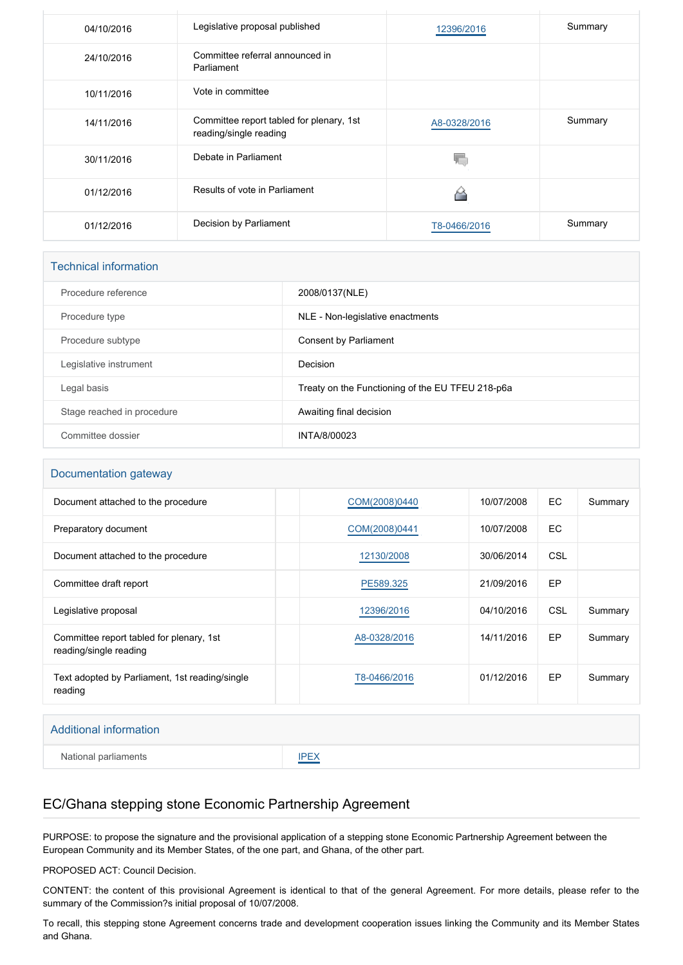| 04/10/2016 | Legislative proposal published                                     | 12396/2016   | Summary |
|------------|--------------------------------------------------------------------|--------------|---------|
| 24/10/2016 | Committee referral announced in<br>Parliament                      |              |         |
| 10/11/2016 | Vote in committee                                                  |              |         |
| 14/11/2016 | Committee report tabled for plenary, 1st<br>reading/single reading | A8-0328/2016 | Summary |
| 30/11/2016 | Debate in Parliament                                               |              |         |
| 01/12/2016 | Results of vote in Parliament                                      |              |         |
| 01/12/2016 | Decision by Parliament                                             | T8-0466/2016 | Summary |

| <b>Technical information</b> |                                                  |  |  |
|------------------------------|--------------------------------------------------|--|--|
| Procedure reference          | 2008/0137(NLE)                                   |  |  |
| Procedure type               | NLE - Non-legislative enactments                 |  |  |
| Procedure subtype            | <b>Consent by Parliament</b>                     |  |  |
| Legislative instrument       | Decision                                         |  |  |
| Legal basis                  | Treaty on the Functioning of the EU TFEU 218-p6a |  |  |
| Stage reached in procedure   | Awaiting final decision                          |  |  |
| Committee dossier            | INTA/8/00023                                     |  |  |

#### Documentation gateway

| Document attached to the procedure                                 | COM(2008)0440 | 10/07/2008 | EC.        | Summary |
|--------------------------------------------------------------------|---------------|------------|------------|---------|
|                                                                    |               |            |            |         |
| Preparatory document                                               | COM(2008)0441 | 10/07/2008 | EC.        |         |
| Document attached to the procedure                                 | 12130/2008    | 30/06/2014 | <b>CSL</b> |         |
| Committee draft report                                             | PE589.325     | 21/09/2016 | EP         |         |
| Legislative proposal                                               | 12396/2016    | 04/10/2016 | CSL        | Summary |
| Committee report tabled for plenary, 1st<br>reading/single reading | A8-0328/2016  | 14/11/2016 | EP         | Summary |
| Text adopted by Parliament, 1st reading/single<br>reading          | T8-0466/2016  | 01/12/2016 | EP         | Summary |

#### Additional information

National parliaments **[IPEX](http://www.ipex.eu/IPEXL-WEB/dossier/dossier.do?code=NLE&year=2008&number=0137&appLng=EN)** 

#### EC/Ghana stepping stone Economic Partnership Agreement

PURPOSE: to propose the signature and the provisional application of a stepping stone Economic Partnership Agreement between the European Community and its Member States, of the one part, and Ghana, of the other part.

PROPOSED ACT: Council Decision.

CONTENT: the content of this provisional Agreement is identical to that of the general Agreement. For more details, please refer to the summary of the Commission?s initial proposal of 10/07/2008.

To recall, this stepping stone Agreement concerns trade and development cooperation issues linking the Community and its Member States and Ghana.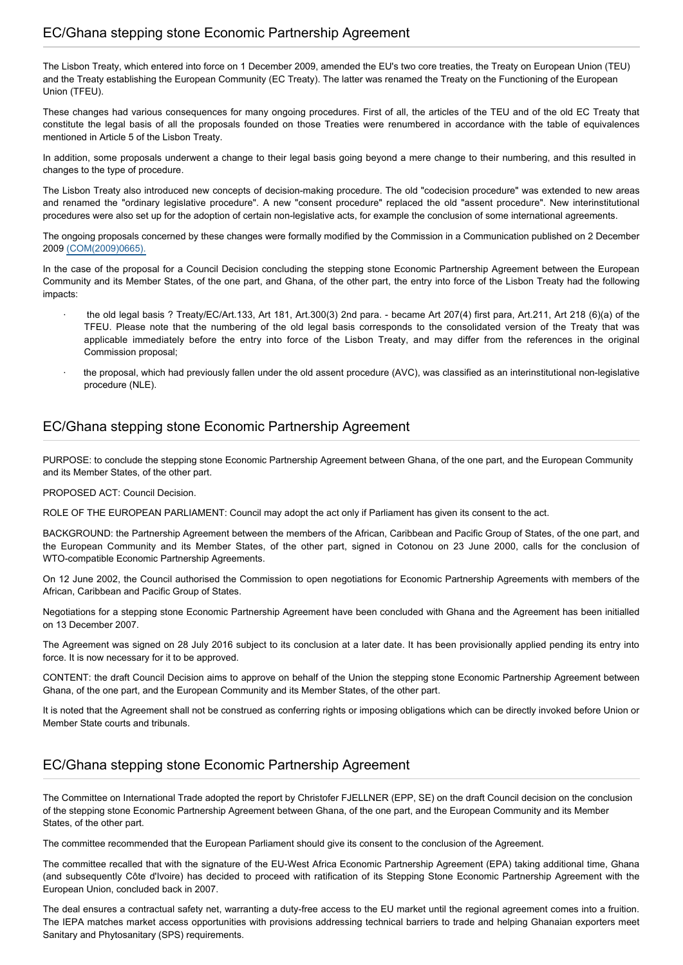The Lisbon Treaty, which entered into force on 1 December 2009, amended the EU's two core treaties, the Treaty on European Union (TEU) and the Treaty establishing the European Community (EC Treaty). The latter was renamed the Treaty on the Functioning of the European Union (TFEU).

These changes had various consequences for many ongoing procedures. First of all, the articles of the TEU and of the old EC Treaty that constitute the legal basis of all the proposals founded on those Treaties were renumbered in accordance with the table of equivalences mentioned in Article 5 of the Lisbon Treaty.

In addition, some proposals underwent a change to their legal basis going beyond a mere change to their numbering, and this resulted in changes to the type of procedure.

The Lisbon Treaty also introduced new concepts of decision-making procedure. The old "codecision procedure" was extended to new areas and renamed the "ordinary legislative procedure". A new "consent procedure" replaced the old "assent procedure". New interinstitutional procedures were also set up for the adoption of certain non-legislative acts, for example the conclusion of some international agreements.

The ongoing proposals concerned by these changes were formally modified by the Commission in a Communication published on 2 December 2009 [\(COM\(2009\)0665\).](http://eur-lex.europa.eu/LexUriServ/LexUriServ.do?uri=COM:2009:0665:FIN:EN:PDF)

In the case of the proposal for a Council Decision concluding the stepping stone Economic Partnership Agreement between the European Community and its Member States, of the one part, and Ghana, of the other part, the entry into force of the Lisbon Treaty had the following impacts:

- · the old legal basis ? Treaty/EC/Art.133, Art 181, Art.300(3) 2nd para. became Art 207(4) first para, Art.211, Art 218 (6)(a) of the TFEU. Please note that the numbering of the old legal basis corresponds to the consolidated version of the Treaty that was applicable immediately before the entry into force of the Lisbon Treaty, and may differ from the references in the original Commission proposal;
- the proposal, which had previously fallen under the old assent procedure (AVC), was classified as an interinstitutional non-legislative procedure (NLE).

### EC/Ghana stepping stone Economic Partnership Agreement

PURPOSE: to conclude the stepping stone Economic Partnership Agreement between Ghana, of the one part, and the European Community and its Member States, of the other part.

PROPOSED ACT: Council Decision.

ROLE OF THE EUROPEAN PARLIAMENT: Council may adopt the act only if Parliament has given its consent to the act.

BACKGROUND: the Partnership Agreement between the members of the African, Caribbean and Pacific Group of States, of the one part, and the European Community and its Member States, of the other part, signed in Cotonou on 23 June 2000, calls for the conclusion of WTO-compatible Economic Partnership Agreements.

On 12 June 2002, the Council authorised the Commission to open negotiations for Economic Partnership Agreements with members of the African, Caribbean and Pacific Group of States.

Negotiations for a stepping stone Economic Partnership Agreement have been concluded with Ghana and the Agreement has been initialled on 13 December 2007.

The Agreement was signed on 28 July 2016 subject to its conclusion at a later date. It has been provisionally applied pending its entry into force. It is now necessary for it to be approved.

CONTENT: the draft Council Decision aims to approve on behalf of the Union the stepping stone Economic Partnership Agreement between Ghana, of the one part, and the European Community and its Member States, of the other part.

It is noted that the Agreement shall not be construed as conferring rights or imposing obligations which can be directly invoked before Union or Member State courts and tribunals.

### EC/Ghana stepping stone Economic Partnership Agreement

The Committee on International Trade adopted the report by Christofer FJELLNER (EPP, SE) on the draft Council decision on the conclusion of the stepping stone Economic Partnership Agreement between Ghana, of the one part, and the European Community and its Member States, of the other part.

The committee recommended that the European Parliament should give its consent to the conclusion of the Agreement.

The committee recalled that with the signature of the EU-West Africa Economic Partnership Agreement (EPA) taking additional time, Ghana (and subsequently Côte d'Ivoire) has decided to proceed with ratification of its Stepping Stone Economic Partnership Agreement with the European Union, concluded back in 2007.

The deal ensures a contractual safety net, warranting a duty-free access to the EU market until the regional agreement comes into a fruition. The IEPA matches market access opportunities with provisions addressing technical barriers to trade and helping Ghanaian exporters meet Sanitary and Phytosanitary (SPS) requirements.